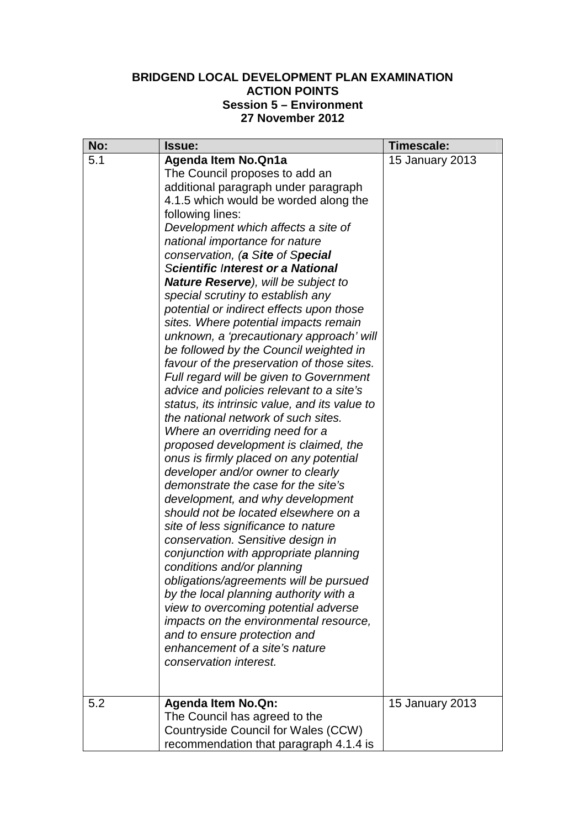## **BRIDGEND LOCAL DEVELOPMENT PLAN EXAMINATION ACTION POINTS Session 5 – Environment 27 November 2012**

| No: | <b>Issue:</b>                                 | Timescale:      |
|-----|-----------------------------------------------|-----------------|
| 5.1 | <b>Agenda Item No. Qn1a</b>                   | 15 January 2013 |
|     | The Council proposes to add an                |                 |
|     | additional paragraph under paragraph          |                 |
|     | 4.1.5 which would be worded along the         |                 |
|     | following lines:                              |                 |
|     | Development which affects a site of           |                 |
|     | national importance for nature                |                 |
|     | conservation, (a Site of Special              |                 |
|     | <b>Scientific Interest or a National</b>      |                 |
|     | <b>Nature Reserve), will be subject to</b>    |                 |
|     | special scrutiny to establish any             |                 |
|     | potential or indirect effects upon those      |                 |
|     | sites. Where potential impacts remain         |                 |
|     | unknown, a 'precautionary approach' will      |                 |
|     | be followed by the Council weighted in        |                 |
|     | favour of the preservation of those sites.    |                 |
|     | Full regard will be given to Government       |                 |
|     | advice and policies relevant to a site's      |                 |
|     | status, its intrinsic value, and its value to |                 |
|     | the national network of such sites.           |                 |
|     | Where an overriding need for a                |                 |
|     | proposed development is claimed, the          |                 |
|     | onus is firmly placed on any potential        |                 |
|     | developer and/or owner to clearly             |                 |
|     | demonstrate the case for the site's           |                 |
|     | development, and why development              |                 |
|     | should not be located elsewhere on a          |                 |
|     | site of less significance to nature           |                 |
|     | conservation. Sensitive design in             |                 |
|     | conjunction with appropriate planning         |                 |
|     | conditions and/or planning                    |                 |
|     | obligations/agreements will be pursued        |                 |
|     | by the local planning authority with a        |                 |
|     | view to overcoming potential adverse          |                 |
|     | impacts on the environmental resource,        |                 |
|     | and to ensure protection and                  |                 |
|     | enhancement of a site's nature                |                 |
|     | conservation interest.                        |                 |
|     |                                               |                 |
| 5.2 | <b>Agenda Item No.Qn:</b>                     | 15 January 2013 |
|     | The Council has agreed to the                 |                 |
|     | Countryside Council for Wales (CCW)           |                 |
|     | recommendation that paragraph 4.1.4 is        |                 |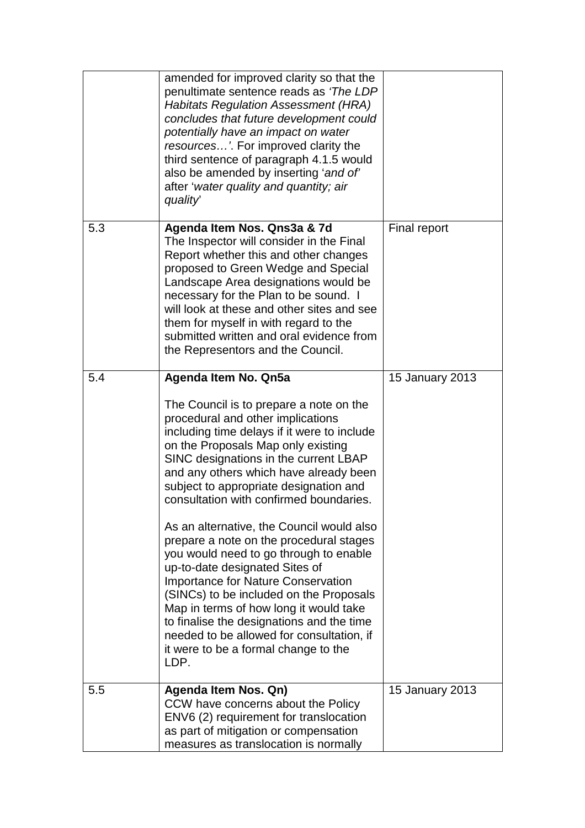|     | amended for improved clarity so that the<br>penultimate sentence reads as 'The LDP<br><b>Habitats Regulation Assessment (HRA)</b><br>concludes that future development could<br>potentially have an impact on water<br>resources'. For improved clarity the<br>third sentence of paragraph 4.1.5 would<br>also be amended by inserting 'and of'<br>after 'water quality and quantity; air<br>quality                                                                                                                                                                                                                                                                                                                                                                                                              |                 |
|-----|-------------------------------------------------------------------------------------------------------------------------------------------------------------------------------------------------------------------------------------------------------------------------------------------------------------------------------------------------------------------------------------------------------------------------------------------------------------------------------------------------------------------------------------------------------------------------------------------------------------------------------------------------------------------------------------------------------------------------------------------------------------------------------------------------------------------|-----------------|
| 5.3 | Agenda Item Nos. Qns3a & 7d<br>The Inspector will consider in the Final<br>Report whether this and other changes<br>proposed to Green Wedge and Special<br>Landscape Area designations would be<br>necessary for the Plan to be sound. I<br>will look at these and other sites and see<br>them for myself in with regard to the<br>submitted written and oral evidence from<br>the Representors and the Council.                                                                                                                                                                                                                                                                                                                                                                                                  | Final report    |
| 5.4 | Agenda Item No. Qn5a<br>The Council is to prepare a note on the<br>procedural and other implications<br>including time delays if it were to include<br>on the Proposals Map only existing<br>SINC designations in the current LBAP<br>and any others which have already been<br>subject to appropriate designation and<br>consultation with confirmed boundaries.<br>As an alternative, the Council would also<br>prepare a note on the procedural stages<br>you would need to go through to enable<br>up-to-date designated Sites of<br><b>Importance for Nature Conservation</b><br>(SINCs) to be included on the Proposals<br>Map in terms of how long it would take<br>to finalise the designations and the time<br>needed to be allowed for consultation, if<br>it were to be a formal change to the<br>LDP. | 15 January 2013 |
| 5.5 | Agenda Item Nos. Qn)<br>CCW have concerns about the Policy<br>ENV6 (2) requirement for translocation<br>as part of mitigation or compensation<br>measures as translocation is normally                                                                                                                                                                                                                                                                                                                                                                                                                                                                                                                                                                                                                            | 15 January 2013 |